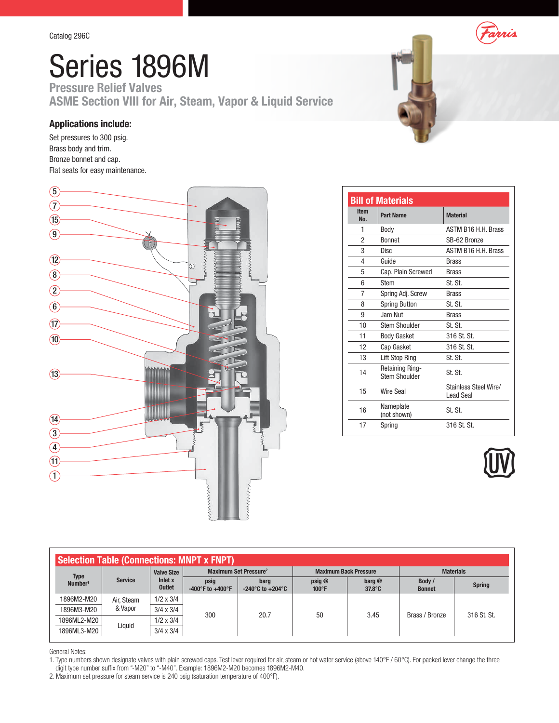Series 1896M Pressure Relief Valves ASME Section VIII for Air, Steam, Vapor & Liquid Service

## Applications include:

Set pressures to 300 psig. Brass body and trim. Bronze bonnet and cap. Flat seats for easy maintenance.



| Farris |
|--------|
|        |
|        |
|        |

| <b>Item</b> |                                                |                                           |
|-------------|------------------------------------------------|-------------------------------------------|
| No.         | <b>Part Name</b>                               | <b>Material</b>                           |
| 1           | Body                                           | <b>ASTM B16 H.H. Brass</b>                |
| 2           | <b>Bonnet</b>                                  | SB-62 Bronze                              |
| 3           | Disc.                                          | ASTM B16 H.H. Brass                       |
| 4           | Guide                                          | <b>Brass</b>                              |
| 5           | Cap, Plain Screwed                             | <b>Brass</b>                              |
| 6           | <b>Stem</b>                                    | St. St.                                   |
| 7           | Spring Adj. Screw                              | <b>Brass</b>                              |
| 8           | <b>Spring Button</b>                           | St. St.                                   |
| 9           | Jam Nut                                        | <b>Brass</b>                              |
| 10          | <b>Stem Shoulder</b>                           | St. St.                                   |
| 11          | <b>Body Gasket</b>                             | 316 St. St.                               |
| 12          | Cap Gasket                                     | 316 St. St.                               |
| 13          | Lift Stop Ring                                 | St. St.                                   |
| 14          | <b>Retaining Ring-</b><br><b>Stem Shoulder</b> | St. St.                                   |
| 15          | <b>Wire Seal</b>                               | Stainless Steel Wire/<br><b>Lead Seal</b> |
| 16          | Nameplate<br>(not shown)                       | St. St.                                   |
|             | Spring                                         | 316 St. St.                               |



| <b>Selection Table (Connections: MNPT x FNPT)</b> |                |                                               |                                              |                                              |                              |                                                             |                         |                |             |
|---------------------------------------------------|----------------|-----------------------------------------------|----------------------------------------------|----------------------------------------------|------------------------------|-------------------------------------------------------------|-------------------------|----------------|-------------|
| <b>Type</b><br>Number <sup>1</sup>                | <b>Service</b> | <b>Valve Size</b><br>Inlet x<br><b>Outlet</b> | Maximum Set Pressure <sup>2</sup>            |                                              | <b>Maximum Back Pressure</b> |                                                             | <b>Materials</b>        |                |             |
|                                                   |                |                                               | psig<br>$-400^{\circ}$ F to $+400^{\circ}$ F | barg<br>$-240^{\circ}$ C to $+204^{\circ}$ C | psig@<br>$100^{\circ}$ F     | $\mathbf{b}$ arg $\mathbf{\mathcal{Q}}$<br>$37.8^{\circ}$ C | Body /<br><b>Bonnet</b> | <b>Spring</b>  |             |
| 1896M2-M20                                        | Air, Steam     | $1/2 \times 3/4$                              |                                              |                                              |                              |                                                             |                         |                |             |
| 1896M3-M20                                        | & Vapor        | $3/4 \times 3/4$                              |                                              | 300                                          | 20.7                         | 50                                                          | 3.45                    | Brass / Bronze | 316 St. St. |
| 1896ML2-M20                                       | Liquid         | $1/2 \times 3/4$                              |                                              |                                              |                              |                                                             |                         |                |             |
| 1896ML3-M20                                       |                | $3/4 \times 3/4$                              |                                              |                                              |                              |                                                             |                         |                |             |

## General Notes:

1. Type numbers shown designate valves with plain screwed caps. Test lever required for air, steam or hot water service (above 140°F / 60°C). For packed lever change the three digit type number suffix from "-M20" to "-M40". Example: 1896M2-M20 becomes 1896M2-M40.

2. Maximum set pressure for steam service is 240 psig (saturation temperature of 400°F).